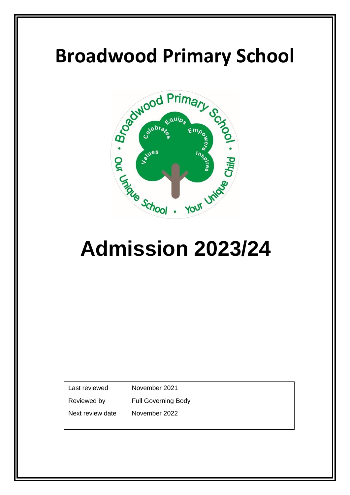

# **Admission 2023/24**

Last reviewed November 2021

Reviewed by Full Governing Body

Next review date November 2022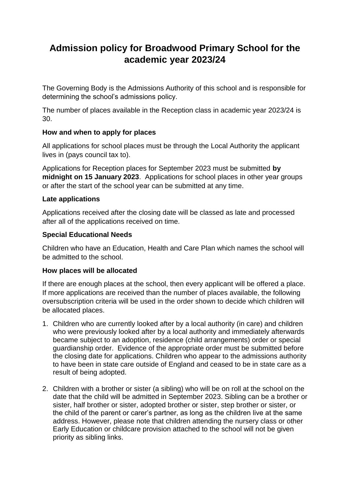## **Admission policy for Broadwood Primary School for the academic year 2023/24**

The Governing Body is the Admissions Authority of this school and is responsible for determining the school's admissions policy.

The number of places available in the Reception class in academic year 2023/24 is 30.

#### **How and when to apply for places**

All applications for school places must be through the Local Authority the applicant lives in (pays council tax to).

Applications for Reception places for September 2023 must be submitted **by midnight on 15 January 2023**. Applications for school places in other year groups or after the start of the school year can be submitted at any time.

#### **Late applications**

Applications received after the closing date will be classed as late and processed after all of the applications received on time.

#### **Special Educational Needs**

Children who have an Education, Health and Care Plan which names the school will be admitted to the school.

#### **How places will be allocated**

If there are enough places at the school, then every applicant will be offered a place. If more applications are received than the number of places available, the following oversubscription criteria will be used in the order shown to decide which children will be allocated places.

- 1. Children who are currently looked after by a local authority (in care) and children who were previously looked after by a local authority and immediately afterwards became subject to an adoption, residence (child arrangements) order or special guardianship order. Evidence of the appropriate order must be submitted before the closing date for applications. Children who appear to the admissions authority to have been in state care outside of England and ceased to be in state care as a result of being adopted.
- 2. Children with a brother or sister (a sibling) who will be on roll at the school on the date that the child will be admitted in September 2023. Sibling can be a brother or sister, half brother or sister, adopted brother or sister, step brother or sister, or the child of the parent or carer's partner, as long as the children live at the same address. However, please note that children attending the nursery class or other Early Education or childcare provision attached to the school will not be given priority as sibling links.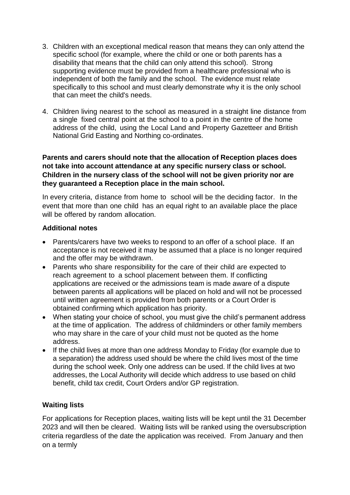- 3. Children with an exceptional medical reason that means they can only attend the specific school (for example, where the child or one or both parents has a disability that means that the child can only attend this school). Strong supporting evidence must be provided from a healthcare professional who is independent of both the family and the school. The evidence must relate specifically to this school and must clearly demonstrate why it is the only school that can meet the child's needs.
- 4. Children living nearest to the school as measured in a straight line distance from a single fixed central point at the school to a point in the centre of the home address of the child, using the Local Land and Property Gazetteer and British National Grid Easting and Northing co-ordinates.

#### **Parents and carers should note that the allocation of Reception places does not take into account attendance at any specific nursery class or school. Children in the nursery class of the school will not be given priority nor are they guaranteed a Reception place in the main school.**

In every criteria, distance from home to school will be the deciding factor. In the event that more than one child has an equal right to an available place the place will be offered by random allocation.

#### **Additional notes**

- Parents/carers have two weeks to respond to an offer of a school place. If an acceptance is not received it may be assumed that a place is no longer required and the offer may be withdrawn.
- Parents who share responsibility for the care of their child are expected to reach agreement to a school placement between them. If conflicting applications are received or the admissions team is made aware of a dispute between parents all applications will be placed on hold and will not be processed until written agreement is provided from both parents or a Court Order is obtained confirming which application has priority.
- When stating your choice of school, you must give the child's permanent address at the time of application. The address of childminders or other family members who may share in the care of your child must not be quoted as the home address.
- If the child lives at more than one address Monday to Friday (for example due to a separation) the address used should be where the child lives most of the time during the school week. Only one address can be used. If the child lives at two addresses, the Local Authority will decide which address to use based on child benefit, child tax credit, Court Orders and/or GP registration.

#### **Waiting lists**

For applications for Reception places, waiting lists will be kept until the 31 December 2023 and will then be cleared. Waiting lists will be ranked using the oversubscription criteria regardless of the date the application was received. From January and then on a termly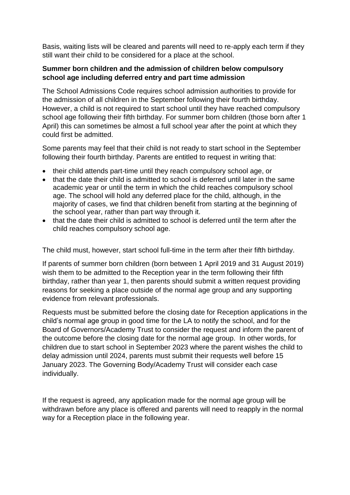Basis, waiting lists will be cleared and parents will need to re-apply each term if they still want their child to be considered for a place at the school.

#### **Summer born children and the admission of children below compulsory school age including deferred entry and part time admission**

The School Admissions Code requires school admission authorities to provide for the admission of all children in the September following their fourth birthday. However, a child is not required to start school until they have reached compulsory school age following their fifth birthday. For summer born children (those born after 1 April) this can sometimes be almost a full school year after the point at which they could first be admitted.

Some parents may feel that their child is not ready to start school in the September following their fourth birthday. Parents are entitled to request in writing that:

- their child attends part-time until they reach compulsory school age, or
- that the date their child is admitted to school is deferred until later in the same academic year or until the term in which the child reaches compulsory school age. The school will hold any deferred place for the child, although, in the majority of cases, we find that children benefit from starting at the beginning of the school year, rather than part way through it.
- that the date their child is admitted to school is deferred until the term after the child reaches compulsory school age.

The child must, however, start school full-time in the term after their fifth birthday.

If parents of summer born children (born between 1 April 2019 and 31 August 2019) wish them to be admitted to the Reception year in the term following their fifth birthday, rather than year 1, then parents should submit a written request providing reasons for seeking a place outside of the normal age group and any supporting evidence from relevant professionals.

Requests must be submitted before the closing date for Reception applications in the child's normal age group in good time for the LA to notify the school, and for the Board of Governors/Academy Trust to consider the request and inform the parent of the outcome before the closing date for the normal age group. In other words, for children due to start school in September 2023 where the parent wishes the child to delay admission until 2024, parents must submit their requests well before 15 January 2023. The Governing Body/Academy Trust will consider each case individually.

If the request is agreed, any application made for the normal age group will be withdrawn before any place is offered and parents will need to reapply in the normal way for a Reception place in the following year.